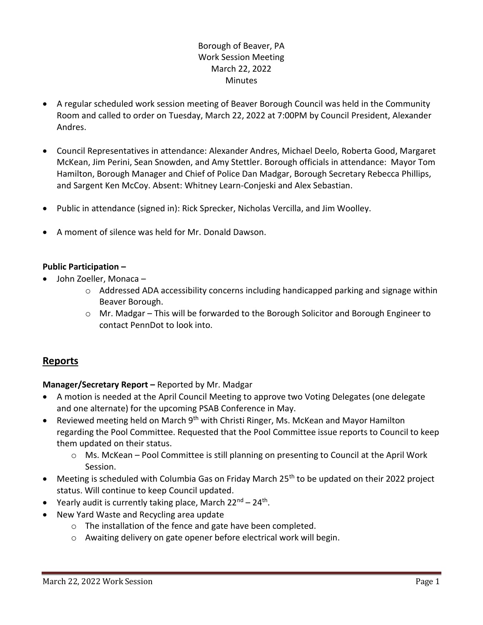# Borough of Beaver, PA Work Session Meeting March 22, 2022 **Minutes**

- A regular scheduled work session meeting of Beaver Borough Council was held in the Community Room and called to order on Tuesday, March 22, 2022 at 7:00PM by Council President, Alexander Andres.
- Council Representatives in attendance: Alexander Andres, Michael Deelo, Roberta Good, Margaret McKean, Jim Perini, Sean Snowden, and Amy Stettler. Borough officials in attendance: Mayor Tom Hamilton, Borough Manager and Chief of Police Dan Madgar, Borough Secretary Rebecca Phillips, and Sargent Ken McCoy. Absent: Whitney Learn-Conjeski and Alex Sebastian.
- Public in attendance (signed in): Rick Sprecker, Nicholas Vercilla, and Jim Woolley.
- A moment of silence was held for Mr. Donald Dawson.

# **Public Participation –**

- John Zoeller, Monaca
	- o Addressed ADA accessibility concerns including handicapped parking and signage within Beaver Borough.
	- $\circ$  Mr. Madgar This will be forwarded to the Borough Solicitor and Borough Engineer to contact PennDot to look into.

# **Reports**

# **Manager/Secretary Report –** Reported by Mr. Madgar

- A motion is needed at the April Council Meeting to approve two Voting Delegates (one delegate and one alternate) for the upcoming PSAB Conference in May.
- Reviewed meeting held on March  $9<sup>th</sup>$  with Christi Ringer, Ms. McKean and Mayor Hamilton regarding the Pool Committee. Requested that the Pool Committee issue reports to Council to keep them updated on their status.
	- o Ms. McKean Pool Committee is still planning on presenting to Council at the April Work Session.
- Meeting is scheduled with Columbia Gas on Friday March 25<sup>th</sup> to be updated on their 2022 project status. Will continue to keep Council updated.
- Yearly audit is currently taking place, March 22<sup>nd</sup> 24<sup>th</sup>.
- New Yard Waste and Recycling area update
	- o The installation of the fence and gate have been completed.
	- o Awaiting delivery on gate opener before electrical work will begin.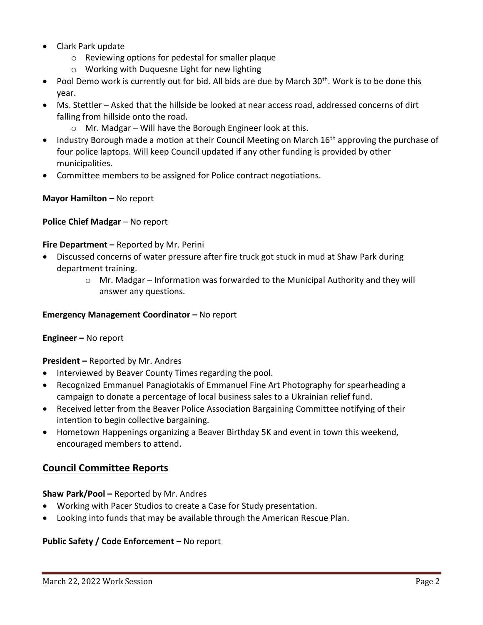- Clark Park update
	- o Reviewing options for pedestal for smaller plaque
	- o Working with Duquesne Light for new lighting
- Pool Demo work is currently out for bid. All bids are due by March  $30<sup>th</sup>$ . Work is to be done this year.
- Ms. Stettler Asked that the hillside be looked at near access road, addressed concerns of dirt falling from hillside onto the road.
	- o Mr. Madgar Will have the Borough Engineer look at this.
- Industry Borough made a motion at their Council Meeting on March 16<sup>th</sup> approving the purchase of four police laptops. Will keep Council updated if any other funding is provided by other municipalities.
- Committee members to be assigned for Police contract negotiations.

## **Mayor Hamilton** – No report

## **Police Chief Madgar** – No report

## **Fire Department –** Reported by Mr. Perini

- Discussed concerns of water pressure after fire truck got stuck in mud at Shaw Park during department training.
	- o Mr. Madgar Information was forwarded to the Municipal Authority and they will answer any questions.

#### **Emergency Management Coordinator - No report**

#### **Engineer –** No report

#### **President –** Reported by Mr. Andres

- Interviewed by Beaver County Times regarding the pool.
- Recognized Emmanuel Panagiotakis of Emmanuel Fine Art Photography for spearheading a campaign to donate a percentage of local business sales to a Ukrainian relief fund.
- Received letter from the Beaver Police Association Bargaining Committee notifying of their intention to begin collective bargaining.
- Hometown Happenings organizing a Beaver Birthday 5K and event in town this weekend, encouraged members to attend.

# **Council Committee Reports**

# **Shaw Park/Pool –** Reported by Mr. Andres

- Working with Pacer Studios to create a Case for Study presentation.
- Looking into funds that may be available through the American Rescue Plan.

#### **Public Safety / Code Enforcement** – No report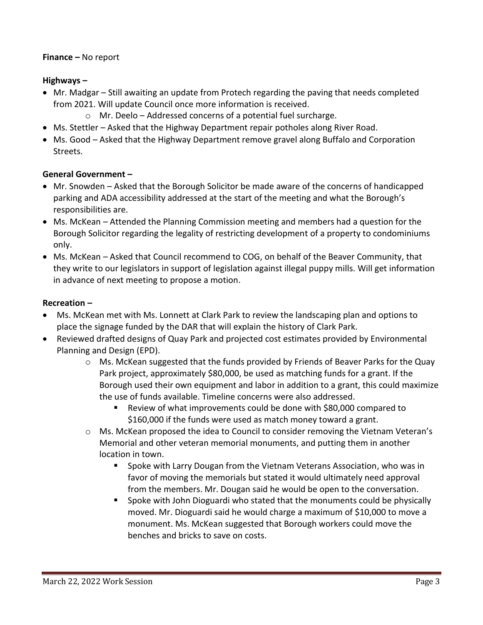#### **Finance –** No report

## **Highways –**

- Mr. Madgar Still awaiting an update from Protech regarding the paving that needs completed from 2021. Will update Council once more information is received.
	- o Mr. Deelo Addressed concerns of a potential fuel surcharge.
- Ms. Stettler Asked that the Highway Department repair potholes along River Road.
- Ms. Good Asked that the Highway Department remove gravel along Buffalo and Corporation Streets.

## **General Government –**

- Mr. Snowden Asked that the Borough Solicitor be made aware of the concerns of handicapped parking and ADA accessibility addressed at the start of the meeting and what the Borough's responsibilities are.
- Ms. McKean Attended the Planning Commission meeting and members had a question for the Borough Solicitor regarding the legality of restricting development of a property to condominiums only.
- Ms. McKean Asked that Council recommend to COG, on behalf of the Beaver Community, that they write to our legislators in support of legislation against illegal puppy mills. Will get information in advance of next meeting to propose a motion.

## **Recreation –**

- Ms. McKean met with Ms. Lonnett at Clark Park to review the landscaping plan and options to place the signage funded by the DAR that will explain the history of Clark Park.
- Reviewed drafted designs of Quay Park and projected cost estimates provided by Environmental Planning and Design (EPD).
	- $\circ$  Ms. McKean suggested that the funds provided by Friends of Beaver Parks for the Quay Park project, approximately \$80,000, be used as matching funds for a grant. If the Borough used their own equipment and labor in addition to a grant, this could maximize the use of funds available. Timeline concerns were also addressed.
		- Review of what improvements could be done with \$80,000 compared to \$160,000 if the funds were used as match money toward a grant.
	- o Ms. McKean proposed the idea to Council to consider removing the Vietnam Veteran's Memorial and other veteran memorial monuments, and putting them in another location in town.
		- Spoke with Larry Dougan from the Vietnam Veterans Association, who was in favor of moving the memorials but stated it would ultimately need approval from the members. Mr. Dougan said he would be open to the conversation.
		- Spoke with John Dioguardi who stated that the monuments could be physically moved. Mr. Dioguardi said he would charge a maximum of \$10,000 to move a monument. Ms. McKean suggested that Borough workers could move the benches and bricks to save on costs.